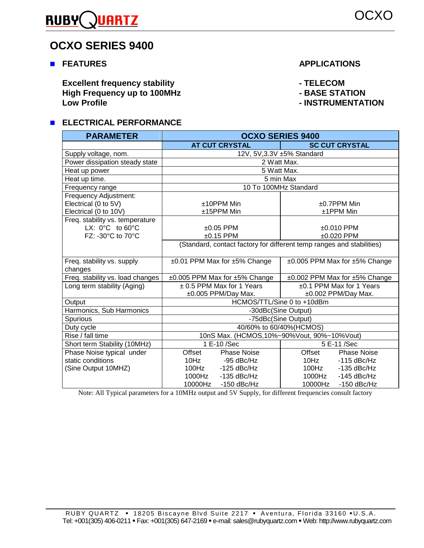

# **OCXO SERIES 9400**

**EXECUTIONS EXECUTIONS** 

**Excellent frequency stability Accellent frequency stability** Acceleration of the LECOM **FILECOM** High Frequency up to 100MHz **Access 100MHz - BASE STATION Low Profile - INSTRUMENTATION** 

## **ELECTRICAL PERFORMANCE**

| <b>PARAMETER</b>                    | <b>OCXO SERIES 9400</b>                                               |                                          |  |  |  |  |
|-------------------------------------|-----------------------------------------------------------------------|------------------------------------------|--|--|--|--|
|                                     | <b>AT CUT CRYSTAL</b>                                                 | <b>SC CUT CRYSTAL</b>                    |  |  |  |  |
| Supply voltage, nom.                | 12V, 5V, 3.3V ±5% Standard                                            |                                          |  |  |  |  |
| Power dissipation steady state      | 2 Watt Max.                                                           |                                          |  |  |  |  |
| Heat up power                       | 5 Watt Max.                                                           |                                          |  |  |  |  |
| Heat up time.                       | 5 min Max                                                             |                                          |  |  |  |  |
| Frequency range                     | 10 To 100MHz Standard                                                 |                                          |  |  |  |  |
| Frequency Adjustment:               |                                                                       |                                          |  |  |  |  |
| Electrical (0 to 5V)                | $±10$ PPM Min                                                         | $±0.7$ PPM Min                           |  |  |  |  |
| Electrical (0 to 10V)               | ±15PPM Min                                                            | $±1$ PPM Min                             |  |  |  |  |
| Freq. stability vs. temperature     |                                                                       |                                          |  |  |  |  |
| LX: $0^{\circ}$ C to $60^{\circ}$ C | $±0.05$ PPM                                                           | $±0.010$ PPM                             |  |  |  |  |
| FZ: -30°C to 70°C                   | $±0.15$ PPM                                                           | $±0.020$ PPM                             |  |  |  |  |
|                                     | (Standard, contact factory for different temp ranges and stabilities) |                                          |  |  |  |  |
| Freq. stability vs. supply          | ±0.01 PPM Max for ±5% Change                                          | $\pm 0.005$ PPM Max for $\pm 5\%$ Change |  |  |  |  |
| changes                             |                                                                       |                                          |  |  |  |  |
| Freq. stability vs. load changes    | ±0.005 PPM Max for ±5% Change                                         | ±0.002 PPM Max for ±5% Change            |  |  |  |  |
| Long term stability (Aging)         | ± 0.5 PPM Max for 1 Years                                             | ±0.1 PPM Max for 1 Years                 |  |  |  |  |
|                                     | ±0.005 PPM/Day Max.                                                   | ±0.002 PPM/Day Max.                      |  |  |  |  |
| Output                              | HCMOS/TTL/Sine 0 to +10dBm                                            |                                          |  |  |  |  |
| Harmonics, Sub Harmonics            | -30dBc(Sine Output)                                                   |                                          |  |  |  |  |
| Spurious                            | -75dBc(Sine Output)                                                   |                                          |  |  |  |  |
| Duty cycle                          | 40/60% to 60/40%(HCMOS)                                               |                                          |  |  |  |  |
| Rise / fall time                    | 10nS Max. (HCMOS, 10%~90%Vout, 90%~10%Vout)                           |                                          |  |  |  |  |
| Short term Stability (10MHz)        | 1 E-10 /Sec                                                           | 5 E-11 /Sec                              |  |  |  |  |
| Phase Noise typical under           | <b>Phase Noise</b><br>Offset                                          | Offset<br><b>Phase Noise</b>             |  |  |  |  |
| static conditions                   | 10Hz<br>-95 dBc/Hz                                                    | 10Hz<br>$-115$ dBc/Hz                    |  |  |  |  |
| (Sine Output 10MHZ)                 | 100Hz -125 dBc/Hz                                                     | 100Hz<br>$-135$ dBc/Hz                   |  |  |  |  |
|                                     | 1000Hz<br>$-135$ dBc/Hz                                               | 1000Hz<br>$-145$ dBc/Hz                  |  |  |  |  |
|                                     | 10000Hz<br>$-150$ dBc/Hz                                              | 10000Hz<br>$-150$ dBc/Hz                 |  |  |  |  |

Note: All Typical parameters for a 10MHz output and 5V Supply, for different frequencies consult factory